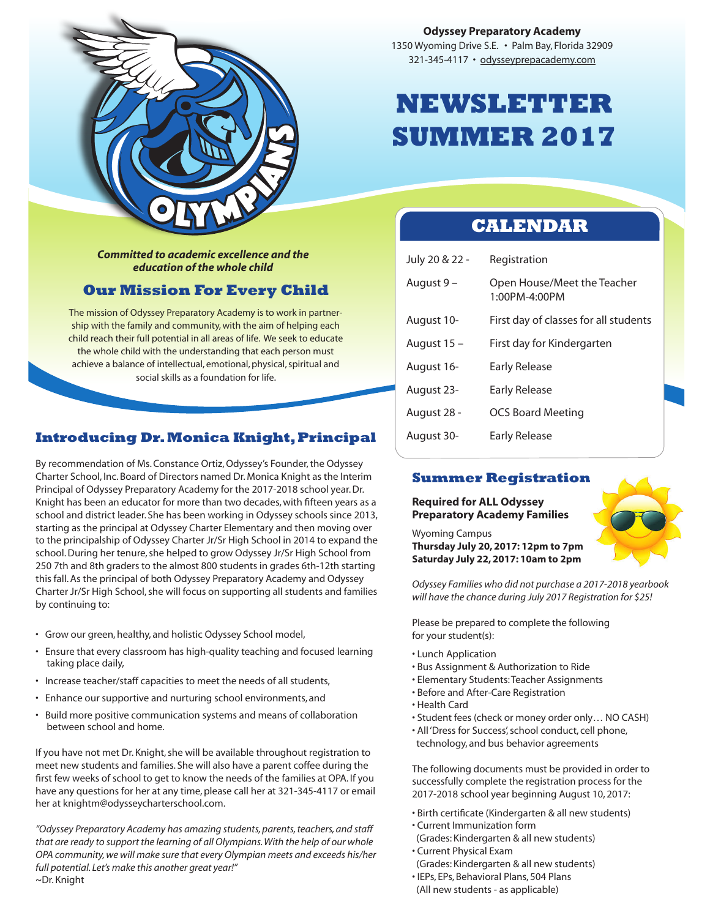

*Committed to academic excellence and the education of the whole child*

## **Our Mission For Every Child**

The mission of Odyssey Preparatory Academy is to work in partnership with the family and community, with the aim of helping each child reach their full potential in all areas of life. We seek to educate the whole child with the understanding that each person must achieve a balance of intellectual, emotional, physical, spiritual and social skills as a foundation for life.

## **Introducing Dr. Monica Knight, Principal**

By recommendation of Ms. Constance Ortiz, Odyssey's Founder, the Odyssey Charter School, Inc. Board of Directors named Dr. Monica Knight as the Interim Principal of Odyssey Preparatory Academy for the 2017-2018 school year. Dr. Knight has been an educator for more than two decades, with fifteen years as a school and district leader. She has been working in Odyssey schools since 2013, starting as the principal at Odyssey Charter Elementary and then moving over to the principalship of Odyssey Charter Jr/Sr High School in 2014 to expand the school. During her tenure, she helped to grow Odyssey Jr/Sr High School from 250 7th and 8th graders to the almost 800 students in grades 6th-12th starting this fall. As the principal of both Odyssey Preparatory Academy and Odyssey Charter Jr/Sr High School, she will focus on supporting all students and families by continuing to:

- Grow our green, healthy, and holistic Odyssey School model,
- Ensure that every classroom has high-quality teaching and focused learning taking place daily,
- Increase teacher/staff capacities to meet the needs of all students,
- Enhance our supportive and nurturing school environments, and
- Build more positive communication systems and means of collaboration between school and home.

If you have not met Dr. Knight, she will be available throughout registration to meet new students and families. She will also have a parent coffee during the first few weeks of school to get to know the needs of the families at OPA. If you have any questions for her at any time, please call her at 321-345-4117 or email her at knightm@odysseycharterschool.com.

*"Odyssey Preparatory Academy has amazing students, parents, teachers, and staff that are ready to support the learning of all Olympians. With the help of our whole OPA community, we will make sure that every Olympian meets and exceeds his/her full potential. Let's make this another great year!"*  ~Dr. Knight

### **Odyssey Preparatory Academy**

1350 Wyoming Drive S.E. • Palm Bay, Florida 32909 321-345-4117 • odysseyprepacademy.com

# **NEWSLETTER SUMMER 2017**

## **CALENDAR**

| July 20 & 22 - | Registration                                 |
|----------------|----------------------------------------------|
| August 9 –     | Open House/Meet the Teacher<br>1:00PM-4:00PM |
| August 10-     | First day of classes for all students        |
| August 15 -    | First day for Kindergarten                   |
| August 16-     | Early Release                                |
| August 23-     | Early Release                                |
| August 28 -    | <b>OCS Board Meeting</b>                     |
| August 30-     | Early Release                                |

## **Summer Registration**

**Required for ALL Odyssey Preparatory Academy Families**

Wyoming Campus **Thursday July 20, 2017: 12pm to 7pm Saturday July 22, 2017: 10am to 2pm**

*Odyssey Families who did not purchase a 2017-2018 yearbook will have the chance during July 2017 Registration for \$25!*

Please be prepared to complete the following for your student(s):

- Lunch Application
- Bus Assignment & Authorization to Ride
- Elementary Students: Teacher Assignments
- Before and After-Care Registration
- Health Card
- Student fees (check or money order only… NO CASH)
- All 'Dress for Success', school conduct, cell phone, technology, and bus behavior agreements

The following documents must be provided in order to successfully complete the registration process for the 2017-2018 school year beginning August 10, 2017:

- Birth certificate (Kindergarten & all new students)
- Current Immunization form
- (Grades: Kindergarten & all new students)
- Current Physical Exam
- (Grades: Kindergarten & all new students)
- IEPs, EPs, Behavioral Plans, 504 Plans (All new students - as applicable)